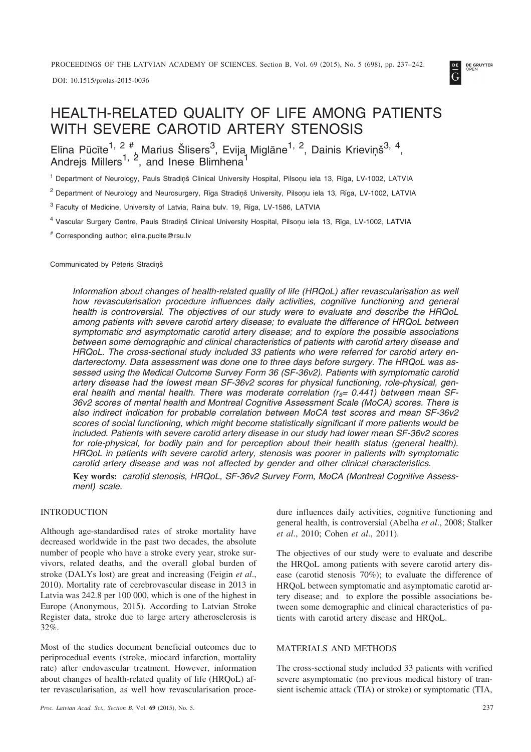DOI: 10.1515/prolas-2015-0036



# HEALTH-RELATED QUALITY OF LIFE AMONG PATIENTS WITH SEVERE CAROTID ARTERY STENOSIS

Elīna Pūcīte $^{1, 2}$   $^{#}_{\lambda}$  Marius Šlisers $^{3}$ , Evija Miglāne $^{1, 2}$ , Dainis Krieviņš $^{3, 4}$ , Andrejs Millers<sup>1, 2</sup>, and Inese Blimhena<sup>1</sup>

<sup>1</sup> Department of Neurology, Pauls Stradiņš Clinical University Hospital, Pilsoņu iela 13, Rīga, LV-1002, LATVIA

<sup>2</sup> Department of Neurology and Neurosurgery, Rīga Stradinš University, Pilsonu iela 13, Rīga, LV-1002, LATVIA

<sup>3</sup> Faculty of Medicine, University of Latvia, Raina bulv. 19, Rîga, LV-1586, LATVIA

<sup>4</sup> Vascular Surgery Centre, Pauls Stradinš Clinical University Hospital, Pilsonu iela 13, Rīga, LV-1002, LATVIA

# Corresponding author; elina.pucite@rsu.lv

Communicated by Pēteris Stradinš

*Information about changes of health-related quality of life (HRQoL) after revascularisation as well how revascularisation procedure influences daily activities, cognitive functioning and general health is controversial. The objectives of our study were to evaluate and describe the HRQoL among patients with severe carotid artery disease; to evaluate the difference of HRQoL between symptomatic and asymptomatic carotid artery disease; and to explore the possible associations between some demographic and clinical characteristics of patients with carotid artery disease and HRQoL. The cross-sectional study included 33 patients who were referred for carotid artery endarterectomy. Data assessment was done one to three days before surgery. The HRQoL was assessed using the Medical Outcome Survey Form 36 (SF-36v2). Patients with symptomatic carotid artery disease had the lowest mean SF-36v2 scores for physical functioning, role-physical, general health and mental health. There was moderate correlation (rs= 0.441) between mean SF-36v2 scores of mental health and Montreal Cognitive Assessment Scale (MoCA) scores. There is also indirect indication for probable correlation between MoCA test scores and mean SF-36v2 scores of social functioning, which might become statistically significant if more patients would be included. Patients with severe carotid artery disease in our study had lower mean SF-36v2 scores for role-physical, for bodily pain and for perception about their health status (general health). HRQoL in patients with severe carotid artery, stenosis was poorer in patients with symptomatic carotid artery disease and was not affected by gender and other clinical characteristics.*

**Key words:** *carotid stenosis, HRQoL, SF-36v2 Survey Form, MoCA (Montreal Cognitive Assessment) scale.*

## INTRODUCTION

Although age-standardised rates of stroke mortality have decreased worldwide in the past two decades, the absolute number of people who have a stroke every year, stroke survivors, related deaths, and the overall global burden of stroke (DALYs lost) are great and increasing (Feigin *et al*., 2010). Mortality rate of cerebrovascular disease in 2013 in Latvia was 242.8 per 100 000, which is one of the highest in Europe (Anonymous, 2015). According to Latvian Stroke Register data, stroke due to large artery atherosclerosis is 32%.

Most of the studies document beneficial outcomes due to periprocedual events (stroke, miocard infarction, mortality rate) after endovascular treatment. However, information about changes of health-related quality of life (HRQoL) after revascularisation, as well how revascularisation procedure influences daily activities, cognitive functioning and general health, is controversial (Abelha *et al*., 2008; Stalker *et al*., 2010; Cohen *et al*., 2011).

The objectives of our study were to evaluate and describe the HRQoL among patients with severe carotid artery disease (carotid stenosis 70%); to evaluate the difference of HRQoL between symptomatic and asymptomatic carotid artery disease; and to explore the possible associations between some demographic and clinical characteristics of patients with carotid artery disease and HRQoL.

## MATERIALS AND METHODS

The cross-sectional study included 33 patients with verified severe asymptomatic (no previous medical history of transient ischemic attack (TIA) or stroke) or symptomatic (TIA,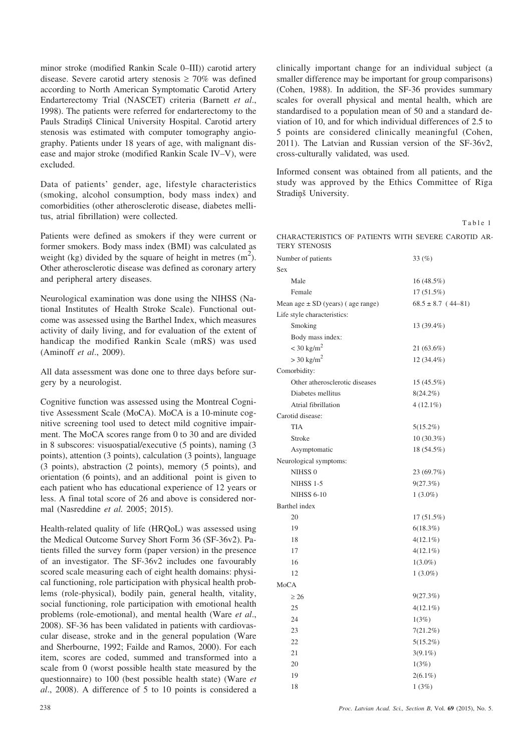minor stroke (modified Rankin Scale 0–III)) carotid artery disease. Severe carotid artery stenosis  $\geq 70\%$  was defined according to North American Symptomatic Carotid Artery Endarterectomy Trial (NASCET) criteria (Barnett *et al*., 1998). The patients were referred for endarterectomy to the Pauls Stradiņš Clinical University Hospital. Carotid artery stenosis was estimated with computer tomography angiography. Patients under 18 years of age, with malignant disease and major stroke (modified Rankin Scale IV–V), were excluded.

Data of patients' gender, age, lifestyle characteristics (smoking, alcohol consumption, body mass index) and comorbidities (other atherosclerotic disease, diabetes mellitus, atrial fibrillation) were collected.

Patients were defined as smokers if they were current or former smokers. Body mass index (BMI) was calculated as weight (kg) divided by the square of height in metres  $(m^2)$ . Other atherosclerotic disease was defined as coronary artery and peripheral artery diseases.

Neurological examination was done using the NIHSS (National Institutes of Health Stroke Scale). Functional outcome was assessed using the Barthel Index, which measures activity of daily living, and for evaluation of the extent of handicap the modified Rankin Scale (mRS) was used (Aminoff *et al*., 2009).

All data assessment was done one to three days before surgery by a neurologist.

Cognitive function was assessed using the Montreal Cognitive Assessment Scale (MoCA). MoCA is a 10-minute cognitive screening tool used to detect mild cognitive impairment. The MoCA scores range from 0 to 30 and are divided in 8 subscores: visuospatial/executive (5 points), naming (3 points), attention (3 points), calculation (3 points), language (3 points), abstraction (2 points), memory (5 points), and orientation (6 points), and an additional point is given to each patient who has educational experience of 12 years or less. A final total score of 26 and above is considered normal (Nasreddine *et al.* 2005; 2015).

Health-related quality of life (HRQoL) was assessed using the Medical Outcome Survey Short Form 36 (SF-36v2). Patients filled the survey form (paper version) in the presence of an investigator. The SF-36v2 includes one favourably scored scale measuring each of eight health domains: physical functioning, role participation with physical health problems (role-physical), bodily pain, general health, vitality, social functioning, role participation with emotional health problems (role-emotional), and mental health (Ware *et al*., 2008). SF-36 has been validated in patients with cardiovascular disease, stroke and in the general population (Ware and Sherbourne, 1992; Failde and Ramos, 2000). For each item, scores are coded, summed and transformed into a scale from 0 (worst possible health state measured by the questionnaire) to 100 (best possible health state) (Ware *et al*., 2008). A difference of 5 to 10 points is considered a clinically important change for an individual subject (a smaller difference may be important for group comparisons) (Cohen, 1988). In addition, the SF-36 provides summary scales for overall physical and mental health, which are standardised to a population mean of 50 and a standard deviation of 10, and for which individual differences of 2.5 to 5 points are considered clinically meaningful (Cohen, 2011). The Latvian and Russian version of the SF-36v2, cross-culturally validated, was used.

Informed consent was obtained from all patients, and the study was approved by the Ethics Committee of Rîga Stradinš University.

| ٠ |  |  |
|---|--|--|

| CHARACTERISTICS OF PATIENTS WITH SEVERE CAROTID AR- |  |  |  |
|-----------------------------------------------------|--|--|--|
| TERY STENOSIS                                       |  |  |  |

| Number of patients                    | 33(%)                  |
|---------------------------------------|------------------------|
| <b>Sex</b>                            |                        |
| Male                                  | 16(48.5%)              |
| Female                                | 17(51.5%)              |
| Mean age $\pm$ SD (years) (age range) | $68.5 \pm 8.7$ (44-81) |
| Life style characteristics:           |                        |
| Smoking                               | 13 (39.4%)             |
| Body mass index:                      |                        |
| $<$ 30 kg/m <sup>2</sup>              | 21 (63.6%)             |
| $>$ 30 kg/m <sup>2</sup>              | 12 (34.4%)             |
| Comorbidity:                          |                        |
| Other atherosclerotic diseases        | 15 (45.5%)             |
| Diabetes mellitus                     | $8(24.2\%)$            |
| Atrial fibrillation                   | $4(12.1\%)$            |
| Carotid disease:                      |                        |
| <b>TIA</b>                            | 5(15.2%)               |
| Stroke                                | 10 (30.3%)             |
| Asymptomatic                          | 18 (54.5%)             |
| Neurological symptoms:                |                        |
| NIHSS <sub>0</sub>                    | 23 (69.7%)             |
| <b>NIHSS 1-5</b>                      | 9(27.3%)               |
| <b>NIHSS 6-10</b>                     | $1(3.0\%)$             |
| Barthel index                         |                        |
| 20                                    | 17 (51.5%)             |
| 19                                    | $6(18.3\%)$            |
| 18                                    | $4(12.1\%)$            |
| 17                                    | $4(12.1\%)$            |
| 16                                    | $1(3.0\%)$             |
| 12                                    | $1(3.0\%)$             |
| MoCA                                  |                        |
| $\geq 26$                             | 9(27.3%)               |
| 25                                    | $4(12.1\%)$            |
| 24                                    | 1(3%)                  |
| 23                                    | 7(21.2%)               |
| 22                                    | 5(15.2%)               |
| 21                                    | $3(9.1\%)$             |
| 20                                    | 1(3%)                  |
| 19                                    | $2(6.1\%)$             |
| 18                                    | 1(3%)                  |
|                                       |                        |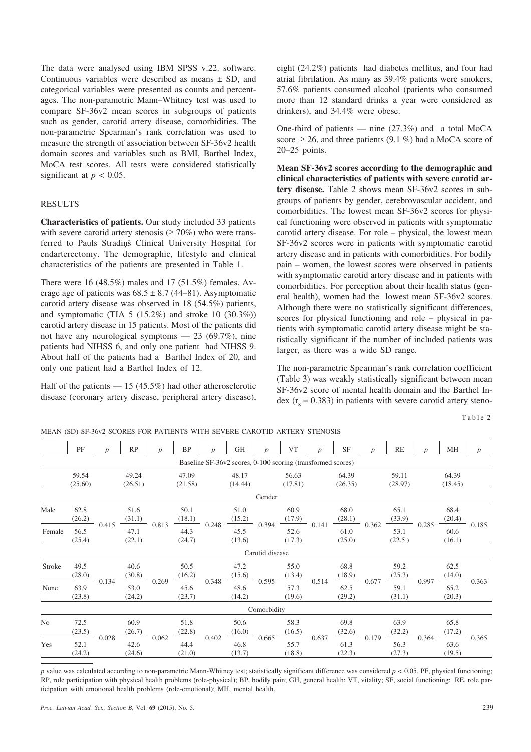The data were analysed using IBM SPSS v.22. software. Continuous variables were described as means  $\pm$  SD, and categorical variables were presented as counts and percentages. The non-parametric Mann–Whitney test was used to compare SF-36v2 mean scores in subgroups of patients such as gender, carotid artery disease, comorbidities. The non-parametric Spearman's rank correlation was used to measure the strength of association between SF-36v2 health domain scores and variables such as BMI, Barthel Index, MoCA test scores. All tests were considered statistically significant at  $p < 0.05$ .

### RESULTS

**Characteristics of patients.** Our study included 33 patients with severe carotid artery stenosis ( $\geq$  70%) who were transferred to Pauls Stradinš Clinical University Hospital for endarterectomy. The demographic, lifestyle and clinical characteristics of the patients are presented in Table 1.

There were 16 (48.5%) males and 17 (51.5%) females. Average age of patients was  $68.5 \pm 8.7$  (44–81). Asymptomatic carotid artery disease was observed in 18 (54.5%) patients, and symptomatic (TIA  $5$  (15.2%) and stroke 10 (30.3%)) carotid artery disease in 15 patients. Most of the patients did not have any neurological symptoms — 23 (69.7%), nine patients had NIHSS 6, and only one patient had NIHSS 9. About half of the patients had a Barthel Index of 20, and only one patient had a Barthel Index of 12.

Half of the patients  $-15(45.5%)$  had other atherosclerotic disease (coronary artery disease, peripheral artery disease), eight (24.2%) patients had diabetes mellitus, and four had atrial fibrilation. As many as 39.4% patients were smokers, 57.6% patients consumed alcohol (patients who consumed more than 12 standard drinks a year were considered as drinkers), and 34.4% were obese.

One-third of patients — nine  $(27.3\%)$  and a total MoCA score  $\geq$  26, and three patients (9.1 %) had a MoCA score of 20–25 points.

**Mean SF-36v2 scores according to the demographic and clinical characteristics of patients with severe carotid artery disease.** Table 2 shows mean SF-36v2 scores in subgroups of patients by gender, cerebrovascular accident, and comorbidities. The lowest mean SF-36v2 scores for physical functioning were observed in patients with symptomatic carotid artery disease. For role – physical, the lowest mean SF-36v2 scores were in patients with symptomatic carotid artery disease and in patients with comorbidities. For bodily pain – women, the lowest scores were observed in patients with symptomatic carotid artery disease and in patients with comorbidities. For perception about their health status (general health), women had the lowest mean SF-36v2 scores. Although there were no statistically significant differences, scores for physical functioning and role – physical in patients with symptomatic carotid artery disease might be statistically significant if the number of included patients was larger, as there was a wide SD range.

The non-parametric Spearman's rank correlation coefficient (Table 3) was weakly statistically significant between mean SF-36v2 score of mental health domain and the Barthel Index ( $r_s$  = 0.383) in patients with severe carotid artery steno-

Table 2

MEAN (SD) SF-36v2 SCORES FOR PATIENTS WITH SEVERE CAROTID ARTERY STENOSIS

|        | PF                                                          | $\boldsymbol{D}$                          | RP                             | n | BP                                                    | $\boldsymbol{D}$       | <b>GH</b>                                                                          | $\boldsymbol{n}$ | <b>VT</b>                                                   | $\boldsymbol{p}$ | <b>SF</b>        | $\boldsymbol{v}$       | RE                                   | $\boldsymbol{D}$ | MH                             | $\boldsymbol{p}$ |
|--------|-------------------------------------------------------------|-------------------------------------------|--------------------------------|---|-------------------------------------------------------|------------------------|------------------------------------------------------------------------------------|------------------|-------------------------------------------------------------|------------------|------------------|------------------------|--------------------------------------|------------------|--------------------------------|------------------|
|        | Baseline SF-36v2 scores, 0-100 scoring (transformed scores) |                                           |                                |   |                                                       |                        |                                                                                    |                  |                                                             |                  |                  |                        |                                      |                  |                                |                  |
|        | 59.54<br>(25.60)                                            |                                           | 49.24<br>(26.51)               |   | (21.58)                                               | 47.09                  | 48.17<br>(14.44)                                                                   |                  | 56.63<br>(17.81)                                            |                  | 64.39<br>(26.35) |                        | 59.11<br>(28.97)                     |                  | 64.39<br>(18.45)               |                  |
|        |                                                             |                                           |                                |   |                                                       |                        |                                                                                    | Gender           |                                                             |                  |                  |                        |                                      |                  |                                |                  |
| Male   | 62.8<br>(26.2)                                              | 0.415                                     | 51.6                           |   | 50.1<br>$\frac{(31.1)}{0.813}$ $\frac{(18.1)}{0.248}$ |                        | 51.0<br>$\frac{(15.2)}{0.394}$ $\frac{(17.9)}{0.141}$ $\frac{(28.1)}{0.362}$ 0.362 |                  | 60.9                                                        |                  | 68.0             |                        | 65.1<br>$\frac{(33.9)}{0.285}$       |                  | 68.4<br>$\frac{(20.4)}{0.185}$ |                  |
| Female | 56.5<br>(25.4)                                              |                                           | 47.1<br>(22.1)                 |   | 44.3<br>(24.7)                                        |                        | 45.5<br>(13.6)                                                                     |                  | 52.6<br>(17.3)                                              |                  | 61.0<br>(25.0)   |                        | 53.1<br>(22.5)                       |                  | 60.6<br>(16.1)                 |                  |
|        |                                                             |                                           |                                |   |                                                       |                        |                                                                                    | Carotid disease  |                                                             |                  |                  |                        |                                      |                  |                                |                  |
| Stroke | 49.5<br>(28.0)                                              | 0.134                                     | 40.6<br>$\frac{(30.8)}{0.269}$ |   | 50.5<br>(16.2)                                        | 0.348                  | 47.2                                                                               |                  | 55.0<br>$\frac{(15.6)}{0.595}$ $\frac{(13.4)}{0.514}$ 0.514 |                  | 68.8<br>(18.9)   |                        | 59.2<br>$0.677 \frac{(25.3)}{0.997}$ |                  | 62.5<br>(14.0)                 |                  |
| None   | 63.9<br>(23.8)                                              |                                           | 53.0<br>(24.2)                 |   | 45.6<br>(23.7)                                        |                        | 48.6<br>(14.2)                                                                     |                  | 57.3<br>(19.6)                                              |                  | 62.5<br>(29.2)   |                        | 59.1<br>(31.1)                       |                  | 65.2<br>(20.3)                 | 0.363            |
|        |                                                             |                                           |                                |   |                                                       |                        |                                                                                    | Comorbidity      |                                                             |                  |                  |                        |                                      |                  |                                |                  |
| No     | 72.5<br>(23.5)                                              | 60.9<br>(26.7)<br>0.028<br>42.6<br>(24.6) | $\frac{20.7}{10}$ 0.062        |   | 51.8<br>(22.8)                                        | $\frac{(22.6)}{0.402}$ | 50.6<br>$\frac{(16.0)}{0.665}$                                                     |                  | 58.3<br>$\frac{(16.5)}{0.637}$                              |                  | 69.8             | $\frac{(32.6)}{0.179}$ | 63.9<br>$\frac{(32.2)}{0.364}$       |                  | 65.8<br>(17.2)                 | 0.365            |
| Yes    | 52.1<br>(24.2)                                              |                                           |                                |   | 44.4<br>(21.0)                                        |                        | 46.8<br>(13.7)                                                                     |                  | 55.7<br>(18.8)                                              |                  | 61.3<br>(22.3)   |                        | 56.3<br>(27.3)                       |                  | 63.6<br>(19.5)                 |                  |
|        |                                                             |                                           |                                |   |                                                       |                        |                                                                                    |                  |                                                             |                  |                  |                        |                                      |                  |                                |                  |

*p* value was calculated according to non-parametric Mann-Whitney test; statistically significant difference was considered  $p < 0.05$ . PF, physical functioning; RP, role participation with physical health problems (role-physical); BP, bodily pain; GH, general health; VT, vitality; SF, social functioning; RE, role participation with emotional health problems (role-emotional); MH, mental health.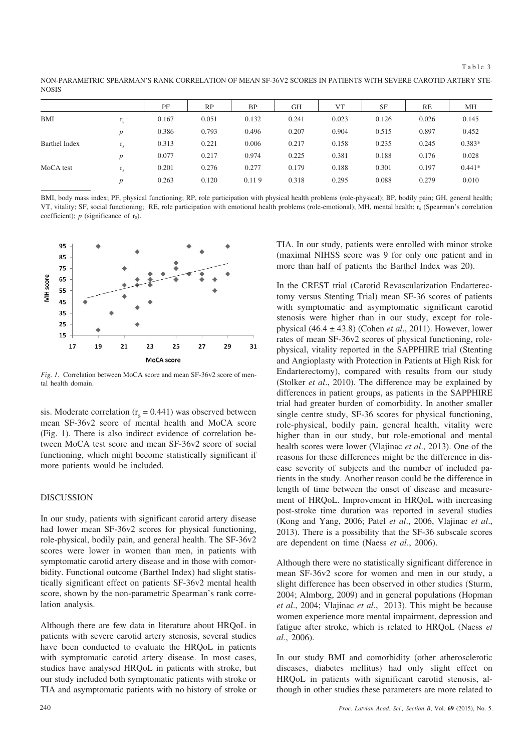NON-PARAMETRIC SPEARMAN'S RANK CORRELATION OF MEAN SF-36V2 SCORES IN PATIENTS WITH SEVERE CAROTID ARTERY STE-NOSIS

|                      |                         | PF    | <b>RP</b> | <b>BP</b> | GH    | VT    | <b>SF</b> | RE    | МH       |
|----------------------|-------------------------|-------|-----------|-----------|-------|-------|-----------|-------|----------|
| <b>BMI</b>           | $\mathbf{1}_{\text{S}}$ | 0.167 | 0.051     | 0.132     | 0.241 | 0.023 | 0.126     | 0.026 | 0.145    |
|                      | $\boldsymbol{D}$        | 0.386 | 0.793     | 0.496     | 0.207 | 0.904 | 0.515     | 0.897 | 0.452    |
| <b>Barthel Index</b> | $L_{S}$                 | 0.313 | 0.221     | 0.006     | 0.217 | 0.158 | 0.235     | 0.245 | $0.383*$ |
|                      | $\boldsymbol{p}$        | 0.077 | 0.217     | 0.974     | 0.225 | 0.381 | 0.188     | 0.176 | 0.028    |
| MoCA test            | $\mathbf{1}_{\text{S}}$ | 0.201 | 0.276     | 0.277     | 0.179 | 0.188 | 0.301     | 0.197 | $0.441*$ |
|                      | $\boldsymbol{D}$        | 0.263 | 0.120     | 0.119     | 0.318 | 0.295 | 0.088     | 0.279 | 0.010    |

BMI, body mass index; PF, physical functioning; RP, role participation with physical health problems (role-physical); BP, bodily pain; GH, general health; VT, vitality; SF, social functioning; RE, role participation with emotional health problems (role-emotional); MH, mental health; rs (Spearman's correlation coefficient);  $p$  (significance of  $r_s$ ).



*Fig. 1.* Correlation between MoCA score and mean SF-36v2 score of mental health domain.

sis. Moderate correlation  $(r_s = 0.441)$  was observed between mean SF-36v2 score of mental health and MoCA score (Fig. 1). There is also indirect evidence of correlation between MoCA test score and mean SF-36v2 score of social functioning, which might become statistically significant if more patients would be included.

#### DISCUSSION

In our study, patients with significant carotid artery disease had lower mean SF-36v2 scores for physical functioning, role-physical, bodily pain, and general health. The SF-36v2 scores were lower in women than men, in patients with symptomatic carotid artery disease and in those with comorbidity. Functional outcome (Barthel Index) had slight statistically significant effect on patients SF-36v2 mental health score, shown by the non-parametric Spearman's rank correlation analysis.

Although there are few data in literature about HRQoL in patients with severe carotid artery stenosis, several studies have been conducted to evaluate the HRQoL in patients with symptomatic carotid artery disease. In most cases, studies have analysed HRQoL in patients with stroke, but our study included both symptomatic patients with stroke or TIA and asymptomatic patients with no history of stroke or

TIA. In our study, patients were enrolled with minor stroke (maximal NIHSS score was 9 for only one patient and in more than half of patients the Barthel Index was 20).

In the CREST trial (Carotid Revascularization Endarterectomy versus Stenting Trial) mean SF-36 scores of patients with symptomatic and asymptomatic significant carotid stenosis were higher than in our study, except for rolephysical (46.4 ± 43.8) (Cohen *et al*., 2011). However, lower rates of mean SF-36v2 scores of physical functioning, rolephysical, vitality reported in the SAPPHIRE trial (Stenting and Angioplasty with Protection in Patients at High Risk for Endarterectomy), compared with results from our study (Stolker *et al*., 2010). The difference may be explained by differences in patient groups, as patients in the SAPPHIRE trial had greater burden of comorbidity. In another smaller single centre study, SF-36 scores for physical functioning, role-physical, bodily pain, general health, vitality were higher than in our study, but role-emotional and mental health scores were lower (Vlajinac *et al*., 2013). One of the reasons for these differences might be the difference in disease severity of subjects and the number of included patients in the study. Another reason could be the difference in length of time between the onset of disease and measurement of HRQoL. Improvement in HRQoL with increasing post-stroke time duration was reported in several studies (Kong and Yang, 2006; Patel *et al*., 2006, Vlajinac *et al*., 2013). There is a possibility that the SF-36 subscale scores are dependent on time (Naess *et al*., 2006).

Although there were no statistically significant difference in mean SF-36v2 score for women and men in our study, a slight difference has been observed in other studies (Sturm, 2004; Almborg, 2009) and in general populations (Hopman *et al*., 2004; Vlajinac *et al*., 2013). This might be because women experience more mental impairment, depression and fatigue after stroke, which is related to HRQoL (Naess *et al*., 2006).

In our study BMI and comorbidity (other atherosclerotic diseases, diabetes mellitus) had only slight effect on HRQoL in patients with significant carotid stenosis, although in other studies these parameters are more related to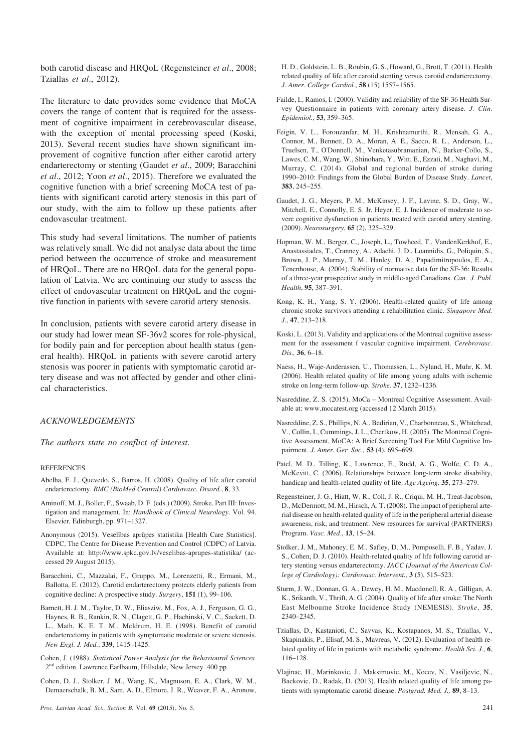both carotid disease and HRQoL (Regensteiner *et al*., 2008; Tziallas *et al*., 2012).

The literature to date provides some evidence that MoCA covers the range of content that is required for the assessment of cognitive impairment in cerebrovascular disease, with the exception of mental processing speed (Koski, 2013). Several recent studies have shown significant improvement of cognitive function after either carotid artery endarterectomy or stenting (Gaudet *et al*., 2009; Baracchini *et al*., 2012; Yoon *et al*., 2015). Therefore we evaluated the cognitive function with a brief screening MoCA test of patients with significant carotid artery stenosis in this part of our study, with the aim to follow up these patients after endovascular treatment.

This study had several limitations. The number of patients was relatively small. We did not analyse data about the time period between the occurrence of stroke and measurement of HRQoL. There are no HRQoL data for the general population of Latvia. We are continuing our study to assess the effect of endovascular treatment on HRQoL and the cognitive function in patients with severe carotid artery stenosis.

In conclusion, patients with severe carotid artery disease in our study had lower mean SF-36v2 scores for role-physical, for bodily pain and for perception about health status (general health). HRQoL in patients with severe carotid artery stenosis was poorer in patients with symptomatic carotid artery disease and was not affected by gender and other clinical characteristics.

#### *ACKNOWLEDGEMENTS*

*The authors state no conflict of interest*.

#### **REFERENCES**

- Abelha, F. J., Quevedo, S., Barros, H. (2008). Quality of life after carotid endarterectomy. *BMC (BioMed Central) Cardiovasc. Disord.*, **8**, 33.
- Aminoff, M. J., Boller, F., Swaab, D. F. (eds.) (2009). Stroke. Part III: Investigation and management. In: *Handbook of Clinical Neurology*. Vol. 94. Elsevier, Edinburgh, pp. 971–1327.
- Anonymous (2015). Veselîbas aprûpes statistika [Health Care Statistics]. CDPC, The Centre for Disease Prevention and Control (CDPC) of Latvia. Available at: http://www.spkc.gov.lv/veselibas-aprupes-statistika/ (accessed 29 August 2015).
- Baracchini, C., Mazzalai, F., Gruppo, M., Lorenzetti, R., Ermani, M., Ballotta, E. (2012). Carotid endarterectomy protects elderly patients from cognitive decline: A prospective study. *Surgery*, **151** (1), 99–106.
- Barnett, H. J. M., Taylor, D. W., Eliasziw, M., Fox, A. J., Ferguson, G. G., Haynes, R. B., Rankin, R. N., Clagett, G. P., Hachinski, V. C., Sackett, D. L., Math, K. E. T. M., Meldrum, H. E. (1998). Benefit of carotid endarterectomy in patients with symptomatic moderate or severe stenosis. *New Engl. J. Med.*, **339**, 1415–1425.
- Cohen, J. (1988). *Statistical Power Analysis for the Behavioural Sciences.* 2<sup>nd</sup> edition. Lawrence Earlbaum, Hillsdale, New Jersey. 400 pp.
- Cohen, D. J., Stolker, J. M., Wang, K., Magnuson, E. A., Clark, W. M., Demaerschalk, B. M., Sam, A. D., Elmore, J. R., Weaver, F. A., Aronow,

H. D., Goldstein, L. B., Roubin, G. S., Howard, G., Brott, T. (2011). Health related quality of life after carotid stenting versus carotid endarterectomy. *J. Amer. College Cardiol.*, **58** (15) 1557–1565.

- Failde, I., Ramos, I. (2000). Validity and reliability of the SF-36 Health Survey Questionnaire in patients with coronary artery disease. *J. Clin. Epidemiol.*, **53**, 359–365.
- Feigin, V. L., Forouzanfar, M. H., Krishnamurthi, R., Mensah, G. A., Connor, M., Bennett, D. A., Moran, A. E., Sacco, R. L., Anderson, L., Truelsen, T., O'Donnell, M., Venketasubramanian, N., Barker-Collo, S., Lawes, C. M., Wang, W., Shinohara, Y., Witt, E., Ezzati, M., Naghavi, M., Murray, C. (2014). Global and regional burden of stroke during 1990–2010: Findings from the Global Burden of Disease Study. *Lancet*, **383**, 245–255.
- Gaudet, J. G., Meyers, P. M., McKinsey, J. F., Lavine, S. D., Gray, W., Mitchell, E., Connolly, E. S. Jr, Heyer, E. J. Incidence of moderate to severe cognitive dysfunction in patients treated with carotid artery stenting. (2009). *Neurosurgery*, **65** (2), 325–329.
- Hopman, W. M., Berger, C., Joseph, L., Towheed, T., VandenKerkhof, E., Anastassiades, T., Cranney, A., Adachi, J. D., Loannidis, G., Poliquin, S., Brown, J. P., Murray, T. M., Hanley, D. A., Papadimitropoulos, E. A., Tenenhouse, A. (2004). Stability of normative data for the SF-36: Results of a three-year prospective study in middle-aged Canadians. *Can. J. Publ. Health*, **95**, 387–391.
- Kong, K. H., Yang, S. Y. (2006). Health-related quality of life among chronic stroke survivors attending a rehabilitation clinic. *Singapore Med. J.*, **47**, 213–218.
- Koski, L. (2013). Validity and applications of the Montreal cognitive assessment for the assessment f vascular cognitive impairment. *Cerebrovasc. Dis.,* **36**, 6–18.
- Naess, H., Waje-Anderassen, U., Thomassen, L., Nyland, H., Muhr, K. M. (2006). Health related quality of life among young adults with ischemic stroke on long-term follow-up. *Stroke,* **37**, 1232–1236.
- Nasreddine, Z. S. (2015). MoCa Montreal Cognitive Assessment. Available at: www.mocatest.org (accessed 12 March 2015).
- Nasreddine, Z. S., Phillips, N. A., Bedirian, V., Charbonneau, S., Whitehead, V., Collin, I., Cummings, J. L., Chertkow, H. (2005). The Montreal Cognitive Assessment, MoCA: A Brief Screening Tool For Mild Cognitive Impairment. *J. Amer. Ger. Soc.,* **53** (4), 695–699.
- Patel, M. D., Tilling, K., Lawrence, E., Rudd, A. G., Wolfe, C. D. A., McKevitt, C. (2006). Relationships between long-term stroke disability, handicap and health-related quality of life. *Age Ageing,* **35**, 273–279.
- Regensteiner, J. G., Hiatt, W. R., Coll, J. R., Criqui, M. H., Treat-Jacobson, D., McDermott, M. M., Hirsch, A. T. (2008). The impact of peripheral arterial disease on health-related quality of life in the peripheral arterial disease awareness, risk, and treatment: New resources for survival (PARTNERS) Program. *Vasc. Med*., **13**, 15–24.
- Stolker, J. M., Mahoney, E. M., Safley, D. M., Pomposelli, F. B., Yadav, J. S., Cohen, D. J. (2010). Health-related quality of life following carotid artery stenting versus endarterectomy. *JACC (Journal of the American College of Cardiology): Cardiovasc. Intervent.,* **3** (5), 515–523.
- Sturm, J. W., Donnan, G. A., Dewey, H. M., Macdonell, R. A., Gilligan, A. K., Srikanth, V., Thrift, A. G. (2004). Quality of life after stroke: The North East Melbourne Stroke Incidence Study (NEMESIS). *Stroke*, **35**, 2340–2345.
- Tziallas, D., Kastanioti, C., Savvas, K., Kostapanos, M. S., Tziallas, V., Skapinakis, P., Elisaf, M. S., Mavreas, V. (2012). Evaluation of health related quality of life in patients with metabolic syndrome. *Health Sci. J.*, **6**, 116–128.
- Vlajinac, H., Marinkovic, J., Maksimovic, M., Kocev, N., Vasiljevic, N., Backovic, D., Radak, D. (2013). Health related quality of life among patients with symptomatic carotid disease. *Postgrad. Med. J.,* **89**, 8–13.